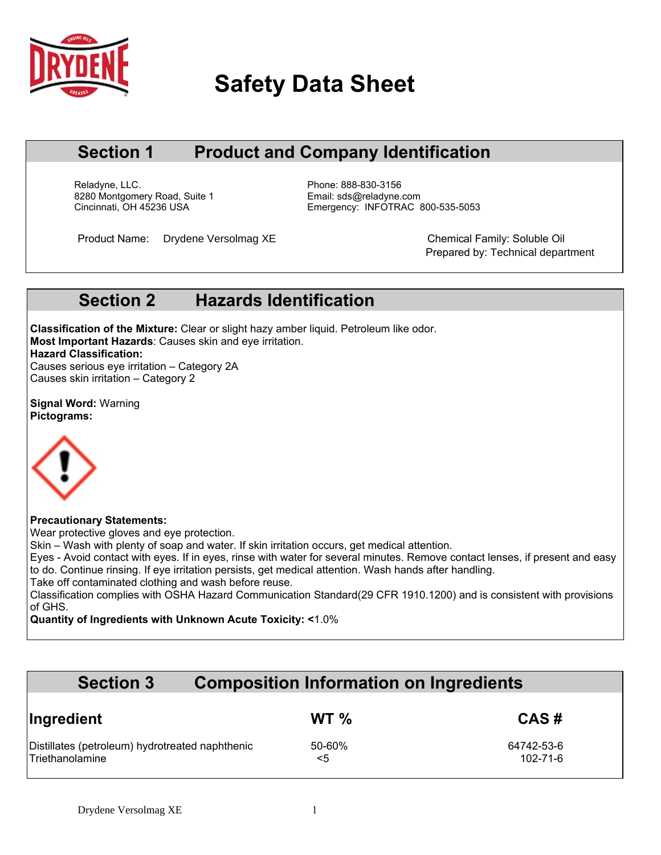

# **Safety Data Sheet**

### **Section 1 Product and Company Identification**

Reladyne, LLC. Phone: 888-830-3156 8280 Montgomery Road, Suite 1<br>Cincinnati, OH 45236 USA

Emergency: INFOTRAC 800-535-5053

Product Name: Drydene Versolmag XE

Chemical Family: Soluble Oil<br>Prepared by: Technical department

#### **Section 2 Hazards Identification**

**Classification of the Mixture:** Clear or slight hazy amber liquid. Petroleum like odor. **Most Important Hazards**: Causes skin and eye irritation. **Hazard Classification:**  Causes serious eye irritation – Category 2A Causes skin irritation – Category 2

**Signal Word:** Warning **Pictograms:** 



**Precautionary Statements:**

Wear protective gloves and eye protection.

Skin – Wash with plenty of soap and water. If skin irritation occurs, get medical attention.

Eyes - Avoid contact with eyes. If in eyes, rinse with water for several minutes. Remove contact lenses, if present and easy to do. Continue rinsing. If eye irritation persists, get medical attention. Wash hands after handling.

Take off contaminated clothing and wash before reuse.

Classification complies with OSHA Hazard Communication Standard(29 CFR 1910.1200) and is consistent with provisions of GHS.

**Quantity of Ingredients with Unknown Acute Toxicity: <**1.0%

#### **Section 3 Composition Information on Ingredients**

| Ingredient                                      | WT $\%$    | CAS#           |
|-------------------------------------------------|------------|----------------|
| Distillates (petroleum) hydrotreated naphthenic | $50 - 60%$ | 64742-53-6     |
| Triethanolamine                                 | <5         | $102 - 71 - 6$ |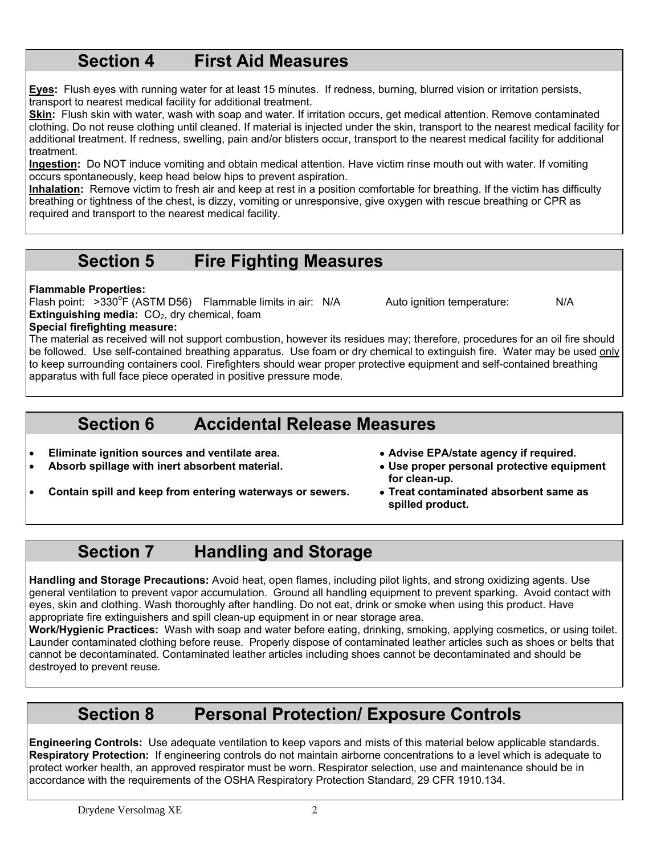#### **Section 4 First Aid Measures**

**Eyes:** Flush eyes with running water for at least 15 minutes. If redness, burning, blurred vision or irritation persists, transport to nearest medical facility for additional treatment.

**Skin:** Flush skin with water, wash with soap and water. If irritation occurs, get medical attention. Remove contaminated clothing. Do not reuse clothing until cleaned. If material is injected under the skin, transport to the nearest medical facility for additional treatment. If redness, swelling, pain and/or blisters occur, transport to the nearest medical facility for additional treatment.

**Ingestion:** Do NOT induce vomiting and obtain medical attention. Have victim rinse mouth out with water. If vomiting occurs spontaneously, keep head below hips to prevent aspiration.

**Inhalation:** Remove victim to fresh air and keep at rest in a position comfortable for breathing. If the victim has difficulty breathing or tightness of the chest, is dizzy, vomiting or unresponsive, give oxygen with rescue breathing or CPR as required and transport to the nearest medical facility.

## **Section 5 Fire Fighting Measures**

#### **Flammable Properties:**

Flash point: >330<sup>°</sup>F (ASTM D56) Flammable limits in air: N/A Auto ignition temperature: N/A **Extinguishing media:** CO<sub>2</sub>, dry chemical, foam

#### **Special firefighting measure:**

The material as received will not support combustion, however its residues may; therefore, procedures for an oil fire should be followed. Use self-contained breathing apparatus. Use foam or dry chemical to extinguish fire. Water may be used only to keep surrounding containers cool. Firefighters should wear proper protective equipment and self-contained breathing apparatus with full face piece operated in positive pressure mode.

#### **Section 6 Accidental Release Measures**

- Eliminate ignition sources and ventilate area. **All increments Advise EPA/state agency if required.**
- Absorb spillage with inert absorbent material. **Also in the Use proper personal protective equipment**  $\bullet$
- - **for clean-up.**
- Contain spill and keep from entering waterways or sewers. <br> **•** Treat contaminated absorbent same as
- **spilled product.**

# **Section 7 Handling and Storage**

**Handling and Storage Precautions:** Avoid heat, open flames, including pilot lights, and strong oxidizing agents. Use general ventilation to prevent vapor accumulation. Ground all handling equipment to prevent sparking. Avoid contact with eyes, skin and clothing. Wash thoroughly after handling. Do not eat, drink or smoke when using this product. Have appropriate fire extinguishers and spill clean-up equipment in or near storage area.

**Work/Hygienic Practices:** Wash with soap and water before eating, drinking, smoking, applying cosmetics, or using toilet. Launder contaminated clothing before reuse. Properly dispose of contaminated leather articles such as shoes or belts that cannot be decontaminated. Contaminated leather articles including shoes cannot be decontaminated and should be destroyed to prevent reuse.

## **Section 8 Personal Protection/ Exposure Controls**

**Engineering Controls:** Use adequate ventilation to keep vapors and mists of this material below applicable standards. **Respiratory Protection:** If engineering controls do not maintain airborne concentrations to a level which is adequate to protect worker health, an approved respirator must be worn. Respirator selection, use and maintenance should be in accordance with the requirements of the OSHA Respiratory Protection Standard, 29 CFR 1910.134.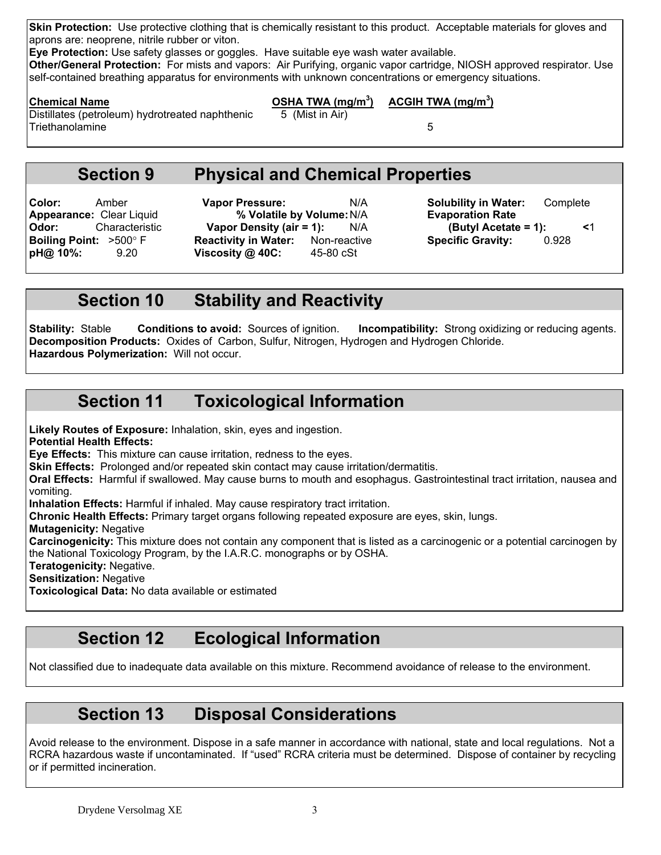**Skin Protection:** Use protective clothing that is chemically resistant to this product. Acceptable materials for gloves and aprons are: neoprene, nitrile rubber or viton.

**Eye Protection:** Use safety glasses or goggles. Have suitable eye wash water available.

**Other/General Protection:** For mists and vapors: Air Purifying, organic vapor cartridge, NIOSH approved respirator. Use self-contained breathing apparatus for environments with unknown concentrations or emergency situations.

Distillates (petroleum) hydrotreated naphthenic 5 (Mist in Air) Triethanolamine 5

**Chemical Name OSHA TWA (mg/m3 ) ACGIH TWA (mg/m3 )**

## **Section 9 Physical and Chemical Properties**

**Appearance:** Clear Liquid **% Volatile by Volume:** N/A **Evaporation Rate Boiling Point:**  $>500^{\circ}$  F **Reactivity in Water:** Non-reactive **Specific Gravity:** 0.928 **pH@ 10%:** 9.20 **Viscosity @ 40C:** 45-80 cSt **9.20 Viscosity @ 40C:** 

**Color:** Amber **Vapor Pressure:** N/A **Solubility in Water:** Complete **Odor:** Characteristic **Vapor Density (air = 1):** N/A **(Butyl Acetate = 1): < 1<br>
<b>Boiling Point:** >500° F **Reactivity in Water:** Non-reactive **Specific Gravity:** 0.928

#### **Section 10 Stability and Reactivity**

**Stability:** Stable **Conditions to avoid:** Sources of ignition. **Incompatibility:** Strong oxidizing or reducing agents. **Decomposition Products:** Oxides of Carbon, Sulfur, Nitrogen, Hydrogen and Hydrogen Chloride. **Hazardous Polymerization:** Will not occur.

# **Section 11 Toxicological Information**

**Likely Routes of Exposure:** Inhalation, skin, eyes and ingestion. **Potential Health Effects: Eye Effects:** This mixture can cause irritation, redness to the eyes. **Skin Effects:** Prolonged and/or repeated skin contact may cause irritation/dermatitis. **Oral Effects:** Harmful if swallowed. May cause burns to mouth and esophagus. Gastrointestinal tract irritation, nausea and vomiting. **Inhalation Effects:** Harmful if inhaled. May cause respiratory tract irritation. **Chronic Health Effects:** Primary target organs following repeated exposure are eyes, skin, lungs. **Mutagenicity:** Negative **Carcinogenicity:** This mixture does not contain any component that is listed as a carcinogenic or a potential carcinogen by the National Toxicology Program, by the I.A.R.C. monographs or by OSHA. **Teratogenicity:** Negative.

**Sensitization:** Negative

**Toxicological Data:** No data available or estimated

# **Section 12 Ecological Information**

Not classified due to inadequate data available on this mixture. Recommend avoidance of release to the environment.

## **Section 13 Disposal Considerations**

Avoid release to the environment. Dispose in a safe manner in accordance with national, state and local regulations. Not a RCRA hazardous waste if uncontaminated. If "used" RCRA criteria must be determined. Dispose of container by recycling or if permitted incineration.